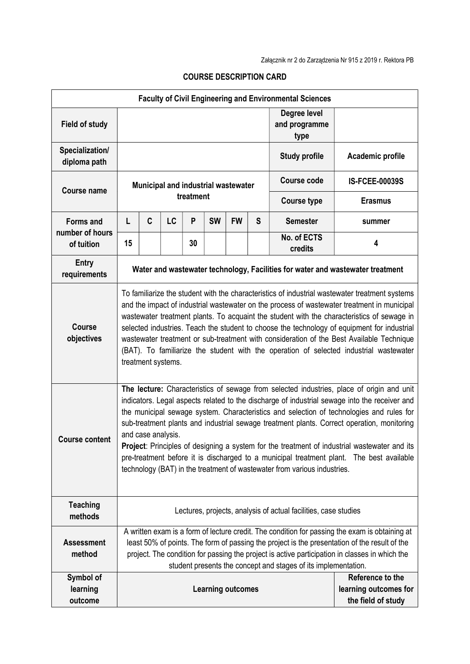| <b>Faculty of Civil Engineering and Environmental Sciences</b> |                                                                                                                                                                                                                                                                                                                                                                                                                                                                                                                                                                                                                                                                                    |   |    |    |                          |           |                                       |                        |                                                                 |
|----------------------------------------------------------------|------------------------------------------------------------------------------------------------------------------------------------------------------------------------------------------------------------------------------------------------------------------------------------------------------------------------------------------------------------------------------------------------------------------------------------------------------------------------------------------------------------------------------------------------------------------------------------------------------------------------------------------------------------------------------------|---|----|----|--------------------------|-----------|---------------------------------------|------------------------|-----------------------------------------------------------------|
| <b>Field of study</b>                                          |                                                                                                                                                                                                                                                                                                                                                                                                                                                                                                                                                                                                                                                                                    |   |    |    |                          |           | Degree level<br>and programme<br>type |                        |                                                                 |
| Specialization/<br>diploma path                                |                                                                                                                                                                                                                                                                                                                                                                                                                                                                                                                                                                                                                                                                                    |   |    |    |                          |           |                                       | <b>Study profile</b>   | Academic profile                                                |
| <b>Course name</b>                                             | Municipal and industrial wastewater<br>treatment                                                                                                                                                                                                                                                                                                                                                                                                                                                                                                                                                                                                                                   |   |    |    |                          |           |                                       | <b>Course code</b>     | <b>IS-FCEE-00039S</b>                                           |
|                                                                |                                                                                                                                                                                                                                                                                                                                                                                                                                                                                                                                                                                                                                                                                    |   |    |    |                          |           |                                       | <b>Course type</b>     | <b>Erasmus</b>                                                  |
| <b>Forms and</b>                                               | L                                                                                                                                                                                                                                                                                                                                                                                                                                                                                                                                                                                                                                                                                  | C | LC | P  | <b>SW</b>                | <b>FW</b> | S                                     | <b>Semester</b>        | summer                                                          |
| number of hours<br>of tuition                                  | 15                                                                                                                                                                                                                                                                                                                                                                                                                                                                                                                                                                                                                                                                                 |   |    | 30 |                          |           |                                       | No. of ECTS<br>credits | 4                                                               |
| <b>Entry</b><br>requirements                                   | Water and wastewater technology, Facilities for water and wastewater treatment                                                                                                                                                                                                                                                                                                                                                                                                                                                                                                                                                                                                     |   |    |    |                          |           |                                       |                        |                                                                 |
| <b>Course</b><br>objectives                                    | To familiarize the student with the characteristics of industrial wastewater treatment systems<br>and the impact of industrial wastewater on the process of wastewater treatment in municipal<br>wastewater treatment plants. To acquaint the student with the characteristics of sewage in<br>selected industries. Teach the student to choose the technology of equipment for industrial<br>wastewater treatment or sub-treatment with consideration of the Best Available Technique<br>(BAT). To familiarize the student with the operation of selected industrial wastewater<br>treatment systems.                                                                             |   |    |    |                          |           |                                       |                        |                                                                 |
| <b>Course content</b>                                          | The lecture: Characteristics of sewage from selected industries, place of origin and unit<br>indicators. Legal aspects related to the discharge of industrial sewage into the receiver and<br>the municipal sewage system. Characteristics and selection of technologies and rules for<br>sub-treatment plants and industrial sewage treatment plants. Correct operation, monitoring<br>and case analysis.<br>Project: Principles of designing a system for the treatment of industrial wastewater and its<br>pre-treatment before it is discharged to a municipal treatment plant. The best available<br>technology (BAT) in the treatment of wastewater from various industries. |   |    |    |                          |           |                                       |                        |                                                                 |
| <b>Teaching</b><br>methods                                     | Lectures, projects, analysis of actual facilities, case studies                                                                                                                                                                                                                                                                                                                                                                                                                                                                                                                                                                                                                    |   |    |    |                          |           |                                       |                        |                                                                 |
| <b>Assessment</b><br>method                                    | A written exam is a form of lecture credit. The condition for passing the exam is obtaining at<br>least 50% of points. The form of passing the project is the presentation of the result of the<br>project. The condition for passing the project is active participation in classes in which the<br>student presents the concept and stages of its implementation.                                                                                                                                                                                                                                                                                                                |   |    |    |                          |           |                                       |                        |                                                                 |
| Symbol of<br>learning<br>outcome                               |                                                                                                                                                                                                                                                                                                                                                                                                                                                                                                                                                                                                                                                                                    |   |    |    | <b>Learning outcomes</b> |           |                                       |                        | Reference to the<br>learning outcomes for<br>the field of study |

## COURSE DESCRIPTION CARD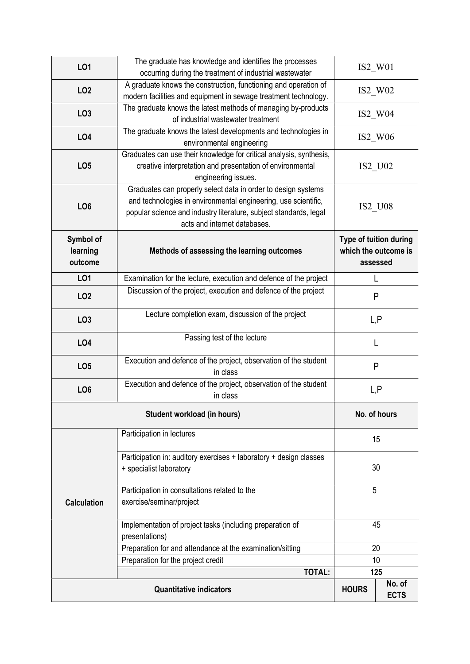| LO1                | The graduate has knowledge and identifies the processes             |                       |                        |  |  |
|--------------------|---------------------------------------------------------------------|-----------------------|------------------------|--|--|
|                    | occurring during the treatment of industrial wastewater             | IS2_W01               |                        |  |  |
| LO <sub>2</sub>    | A graduate knows the construction, functioning and operation of     | $IS2$ W02             |                        |  |  |
|                    | modern facilities and equipment in sewage treatment technology.     |                       |                        |  |  |
| LO <sub>3</sub>    | The graduate knows the latest methods of managing by-products       | IS2_W04               |                        |  |  |
|                    | of industrial wastewater treatment                                  |                       |                        |  |  |
| LO <sub>4</sub>    | The graduate knows the latest developments and technologies in      | $IS2$ W06             |                        |  |  |
|                    | environmental engineering                                           |                       |                        |  |  |
|                    | Graduates can use their knowledge for critical analysis, synthesis, |                       |                        |  |  |
| LO <sub>5</sub>    | creative interpretation and presentation of environmental           | IS2_U02               |                        |  |  |
|                    | engineering issues.                                                 |                       |                        |  |  |
|                    | Graduates can properly select data in order to design systems       |                       |                        |  |  |
| LO <sub>6</sub>    | and technologies in environmental engineering, use scientific,      | <b>IS2 U08</b>        |                        |  |  |
|                    | popular science and industry literature, subject standards, legal   |                       |                        |  |  |
|                    | acts and internet databases.                                        |                       |                        |  |  |
| Symbol of          |                                                                     |                       | Type of tuition during |  |  |
| learning           | Methods of assessing the learning outcomes                          | which the outcome is  |                        |  |  |
| outcome            |                                                                     |                       | assessed               |  |  |
| LO1                | Examination for the lecture, execution and defence of the project   |                       | L                      |  |  |
|                    | Discussion of the project, execution and defence of the project     |                       |                        |  |  |
| LO <sub>2</sub>    |                                                                     |                       | P                      |  |  |
| LO <sub>3</sub>    | Lecture completion exam, discussion of the project                  |                       |                        |  |  |
|                    |                                                                     | L,P<br>L              |                        |  |  |
| LO <sub>4</sub>    | Passing test of the lecture                                         |                       |                        |  |  |
|                    |                                                                     |                       |                        |  |  |
| LO <sub>5</sub>    | Execution and defence of the project, observation of the student    | P                     |                        |  |  |
|                    | in class                                                            |                       |                        |  |  |
| LO <sub>6</sub>    | Execution and defence of the project, observation of the student    | L, P                  |                        |  |  |
|                    | in class                                                            |                       |                        |  |  |
|                    | No. of hours                                                        |                       |                        |  |  |
|                    |                                                                     |                       |                        |  |  |
|                    | Participation in lectures                                           |                       | 15                     |  |  |
|                    | Participation in: auditory exercises + laboratory + design classes  |                       |                        |  |  |
|                    | + specialist laboratory                                             | 30                    |                        |  |  |
|                    |                                                                     |                       |                        |  |  |
|                    | Participation in consultations related to the                       | 5                     |                        |  |  |
| <b>Calculation</b> | exercise/seminar/project                                            | 45                    |                        |  |  |
|                    |                                                                     |                       |                        |  |  |
|                    | Implementation of project tasks (including preparation of           |                       |                        |  |  |
|                    | presentations)                                                      |                       |                        |  |  |
|                    | Preparation for and attendance at the examination/sitting           | 20                    |                        |  |  |
|                    | Preparation for the project credit<br><b>TOTAL:</b>                 | 10                    |                        |  |  |
|                    | 125                                                                 |                       |                        |  |  |
|                    | <b>HOURS</b>                                                        | No. of<br><b>ECTS</b> |                        |  |  |